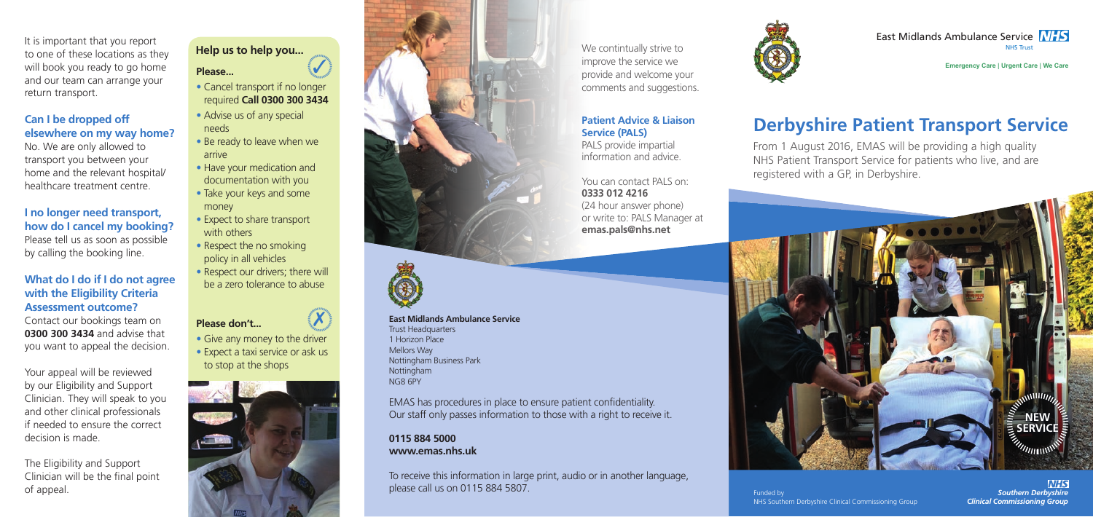East Midlands Ambulance Service **NHS** NHS Trust

**Emergency Care** I **Urgent Care** I **We Care**

# **Derbyshire Patient Transport Service**

We contintually strive to improve the service we provide and welcome your comments and suggestions.



From 1 August 2016, EMAS will be providing a high quality NHS Patient Transport Service for patients who live, and are registered with a GP, in Derbyshire.

**Patient Advice & Liaison** 

**Service (PALS)**

PALS provide impartial information and advice.

You can contact PALS on: **0333 012 4216** (24 hour answer phone) or write to: PALS Manager at **emas.pals@nhs.net**

#### **East Midlands Ambulance Service** Trust Headquarters 1 Horizon Place Mellors Way Nottingham Business Park Nottingham NG8 6PY

EMAS has procedures in place to ensure patient confidentiality. Our staff only passes information to those with a right to receive it.

#### **0115 884 5000 www.emas.nhs.uk**



To receive this information in large print, audio or in another language, please call us on 0115 884 5807.



It is important that you report to one of these locations as they will book you ready to go home and our team can arrange your return transport.

#### **Can I be dropped off elsewhere on my way home?**

# **Help us to help you...** 5

**VHS** *Southern Derbyshire Clinical Commissioning Group*

No. We are only allowed to transport you between your home and the relevant hospital/ healthcare treatment centre.

### **I no longer need transport, how do I cancel my booking?**

Please tell us as soon as possible by calling the booking line.

#### **What do I do if I do not agree with the Eligibility Criteria Assessment outcome?**

Contact our bookings team on **0300 300 3434** and advise that you want to appeal the decision.

Your appeal will be reviewed by our Eligibility and Support Clinician. They will speak to you and other clinical professionals if needed to ensure the correct decision is made.

The Eligibility and Support Clinician will be the final point of appeal.

#### **Please...**

- Cancel transport if no longer required **Call 0300 300 3434**
- Advise us of any special needs
- Be ready to leave when we arrive
- Have your medication and documentation with you
- Take your keys and some money
- Expect to share transport with others
- Respect the no smoking policy in all vehicles
- Respect our drivers; there will be a zero tolerance to abuse

 $\boldsymbol{\mathsf{X}}$ 

## **Please don't...**

- Give any money to the driver
- Expect a taxi service or ask us to stop at the shops







Funded by

NHS Southern Derbyshire Clinical Commissioning Group